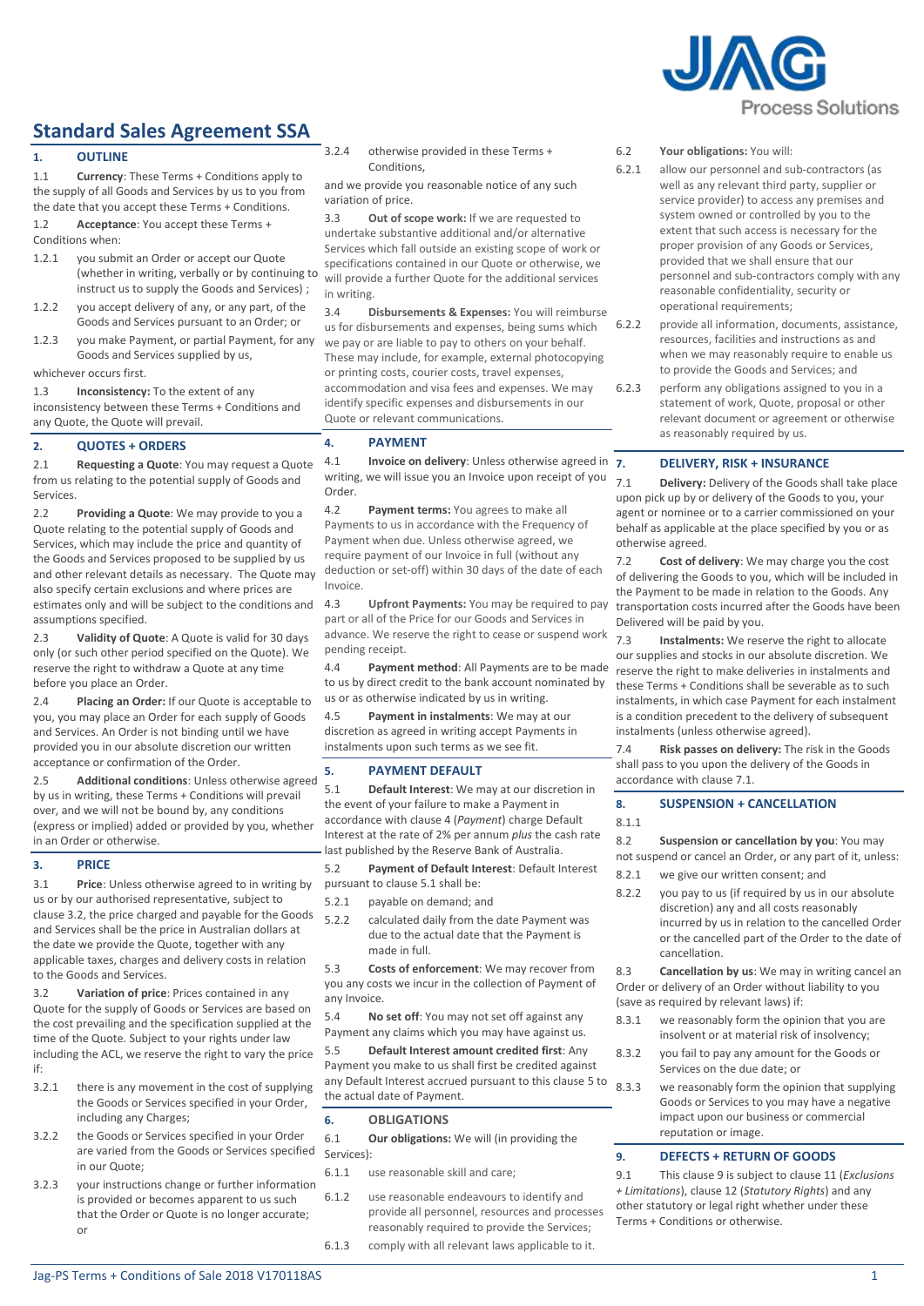

# **Standard Sales Agreement SSA**

# **1. OUTLINE**

1.1 **Currency**: These Terms + Conditions apply to the supply of all Goods and Services by us to you from the date that you accept these Terms + Conditions.

1.2 **Acceptance**: You accept these Terms + Conditions when:

- 1.2.1 you submit an Order or accept our Quote (whether in writing, verbally or by continuing to instruct us to supply the Goods and Services) ;
- 1.2.2 you accept delivery of any, or any part, of the Goods and Services pursuant to an Order; or
- 1.2.3 you make Payment, or partial Payment, for any Goods and Services supplied by us,

whichever occurs first.

1.3 **Inconsistency:** To the extent of any inconsistency between these Terms + Conditions and any Quote, the Quote will prevail.

# **2. QUOTES + ORDERS**

2.1 **Requesting a Quote**: You may request a Quote from us relating to the potential supply of Goods and **Services** 

<span id="page-0-6"></span>2.2 **Providing a Quote**: We may provide to you a Quote relating to the potential supply of Goods and Services, which may include the price and quantity of the Goods and Services proposed to be supplied by us and other relevant details as necessary. The Quote may also specify certain exclusions and where prices are estimates only and will be subject to the conditions and assumptions specified.

2.3 **Validity of Quote**: A Quote is valid for 30 days only (or such other period specified on the Quote). We reserve the right to withdraw a Quote at any time before you place an Order.

2.4 **Placing an Order:** If our Quote is acceptable to you, you may place an Order for each supply of Goods and Services. An Order is not binding until we have provided you in our absolute discretion our written acceptance or confirmation of the Order.

2.5 **Additional conditions**: Unless otherwise agreed by us in writing, these Terms + Conditions will prevail over, and we will not be bound by, any conditions (express or implied) added or provided by you, whether in an Order or otherwise.

# **3. PRICE**

3.1 **Price**: Unless otherwise agreed to in writing by us or by our authorised representative, subject to clause [3.2,](#page-0-0) the price charged and payable for the Goods and Services shall be the price in Australian dollars at the date we provide the Quote, together with any applicable taxes, charges and delivery costs in relation to the Goods and Services.

<span id="page-0-0"></span>3.2 **Variation of price**: Prices contained in any Quote for the supply of Goods or Services are based on the cost prevailing and the specification supplied at the time of the Quote. Subject to your rights under law including the ACL, we reserve the right to vary the price if:

- 3.2.1 there is any movement in the cost of supplying the Goods or Services specified in your Order, including any Charges;
- 3.2.2 the Goods or Services specified in your Order are varied from the Goods or Services specified in our Quote;
- 3.2.3 your instructions change or further information is provided or becomes apparent to us such that the Order or Quote is no longer accurate; or

3.2.4 otherwise provided in these Terms + Conditions,

and we provide you reasonable notice of any such variation of price.

3.3 **Out of scope work:** If we are requested to undertake substantive additional and/or alternative Services which fall outside an existing scope of work or specifications contained in our Quote or otherwise, we will provide a further Quote for the additional services in writing.

3.4 **Disbursements & Expenses:** You will reimburse us for disbursements and expenses, being sums which we pay or are liable to pay to others on your behalf. These may include, for example, external photocopying or printing costs, courier costs, travel expenses, accommodation and visa fees and expenses. We may identify specific expenses and disbursements in our Quote or relevant communications.

# <span id="page-0-1"></span>**4. PAYMENT**

4.1 **Invoice on delivery**: Unless otherwise agreed in 7. writing, we will issue you an Invoice upon receipt of you Order.

4.2 **Payment terms:** You agrees to make all Payments to us in accordance with the Frequency of Payment when due. Unless otherwise agreed, we require payment of our Invoice in full (without any deduction or set-off) within 30 days of the date of each Invoice.

4.3 **Upfront Payments:** You may be required to pay part or all of the Price for our Goods and Services in advance. We reserve the right to cease or suspend work pending receipt.

4.4 **Payment method**: All Payments are to be made to us by direct credit to the bank account nominated by us or as otherwise indicated by us in writing.

4.5 **Payment in instalments**: We may at our discretion as agreed in writing accept Payments in instalments unon such terms as we see fit.

# <span id="page-0-3"></span>**5. PAYMENT DEFAULT**

<span id="page-0-2"></span>5.1 **Default Interest**: We may at our discretion in the event of your failure to make a Payment in accordance with clause [4](#page-0-1) (*[Payment](#page-0-1)*) charge Default Interest at the rate of 2% per annum *plus* the cash rate last published by the Reserve Bank of Australia.

5.2 **Payment of Default Interest**: Default Interest pursuant to clause [5.1](#page-0-2) shall be:

- 5.2.1 payable on demand; and
- 5.2.2 calculated daily from the date Payment was due to the actual date that the Payment is made in full.

5.3 **Costs of enforcement**: We may recover from you any costs we incur in the collection of Payment of any Invoice.

5.4 **No set off**: You may not set off against any Payment any claims which you may have against us.

5.5 **Default Interest amount credited first**: Any Payment you make to us shall first be credited against any Default Interest accrued pursuant to this clause [5](#page-0-3) to the actual date of Payment.

# **6. OBLIGATIONS**

6.1 **Our obligations:** We will (in providing the Services):

- 6.1.1 use reasonable skill and care;
- 6.1.2 use reasonable endeavours to identify and provide all personnel, resources and processes reasonably required to provide the Services; 6.1.3 comply with all relevant laws applicable to it.
- 6.2 **Your obligations:** You will:
- 6.2.1 allow our personnel and sub-contractors (as well as any relevant third party, supplier or service provider) to access any premises and system owned or controlled by you to the extent that such access is necessary for the proper provision of any Goods or Services, provided that we shall ensure that our personnel and sub-contractors comply with any reasonable confidentiality, security or operational requirements;
- 6.2.2 provide all information, documents, assistance, resources, facilities and instructions as and when we may reasonably require to enable us to provide the Goods and Services; and
- 6.2.3 perform any obligations assigned to you in a statement of work, Quote, proposal or other relevant document or agreement or otherwise as reasonably required by us.

# **7. DELIVERY, RISK + INSURANCE**

<span id="page-0-4"></span>7.1 **Delivery:** Delivery of the Goods shall take place upon pick up by or delivery of the Goods to you, your agent or nominee or to a carrier commissioned on your behalf as applicable at the place specified by you or as otherwise agreed.

7.2 **Cost of delivery**: We may charge you the cost of delivering the Goods to you, which will be included in the Payment to be made in relation to the Goods. Any transportation costs incurred after the Goods have been Delivered will be paid by you.

7.3 **Instalments:** We reserve the right to allocate our supplies and stocks in our absolute discretion. We reserve the right to make deliveries in instalments and these Terms + Conditions shall be severable as to such instalments, in which case Payment for each instalment is a condition precedent to the delivery of subsequent instalments (unless otherwise agreed).

7.4 **Risk passes on delivery:** The risk in the Goods shall pass to you upon the delivery of the Goods in accordance with claus[e 7.1.](#page-0-4)

# **8. SUSPENSION + CANCELLATION**

8.1.1

8.2 **Suspension or cancellation by you**: You may not suspend or cancel an Order, or any part of it, unless: 8.2.1 we give our written consent; and

8.2.2 you pay to us (if required by us in our absolute discretion) any and all costs reasonably incurred by us in relation to the cancelled Order or the cancelled part of the Order to the date of cancellation.

8.3 **Cancellation by us**: We may in writing cancel an Order or delivery of an Order without liability to you (save as required by relevant laws) if:

- 8.3.1 we reasonably form the opinion that you are insolvent or at material risk of insolvency;
- 8.3.2 you fail to pay any amount for the Goods or Services on the due date; or
- 8.3.3 we reasonably form the opinion that supplying Goods or Services to you may have a negative impact upon our business or commercial reputation or image.

# <span id="page-0-5"></span>**9. DEFECTS + RETURN OF GOODS**

9.1 This clause [9](#page-0-5) is subject to clause [11](#page-1-0) (*[Exclusions](#page-1-0)  + [Limitations](#page-1-0)*), claus[e 12](#page-1-1) (*[Statutory Rights](#page-1-1)*) and any other statutory or legal right whether under these Terms + Conditions or otherwise.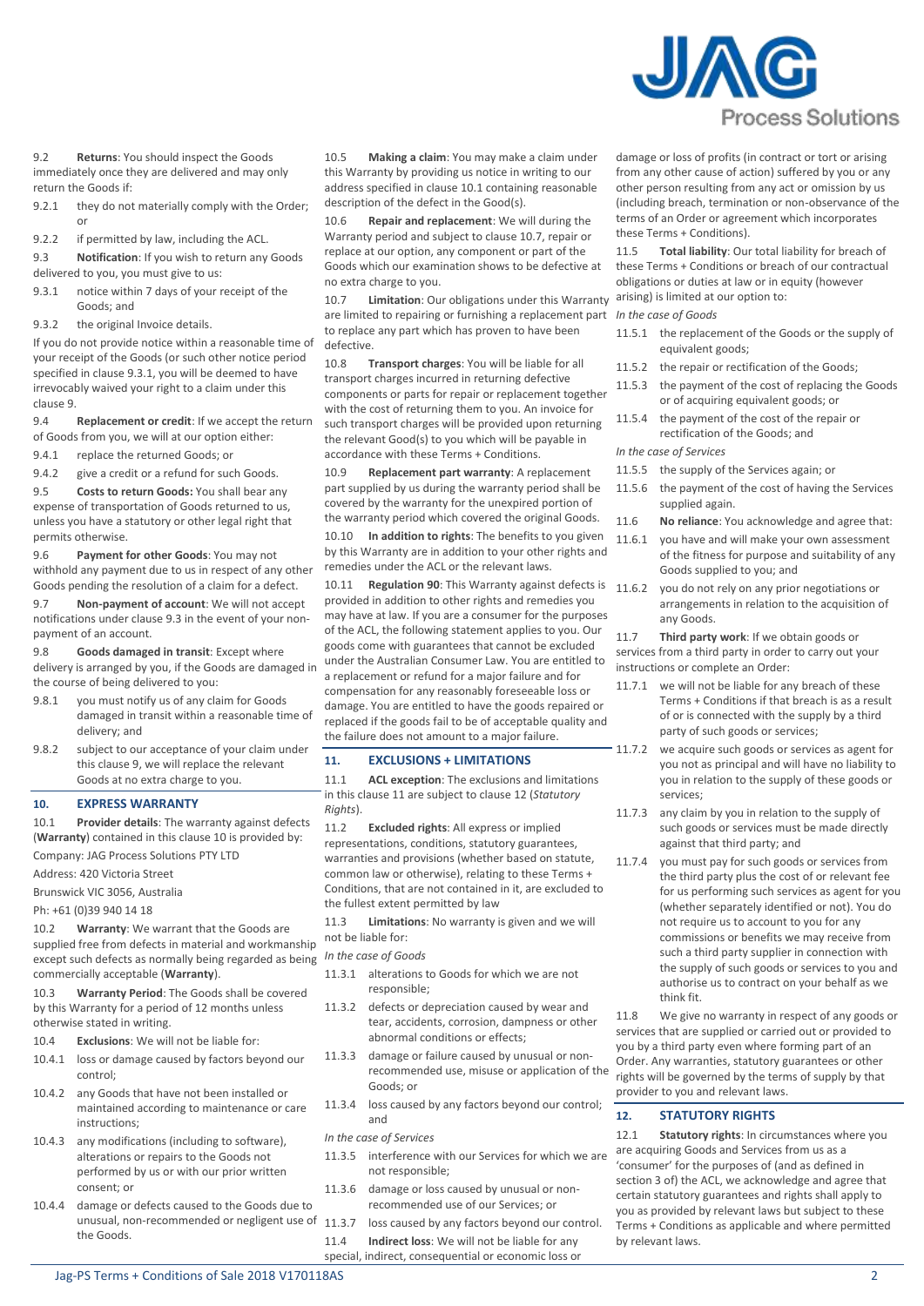

9.2 **Returns**: You should inspect the Goods immediately once they are delivered and may only return the Goods if:

- 9.2.1 they do not materially comply with the Order; or
- 9.2.2 if permitted by law, including the ACL.
- <span id="page-1-3"></span>9.3 **Notification**: If you wish to return any Goods delivered to you, you must give to us:
- <span id="page-1-2"></span>9.3.1 notice within 7 days of your receipt of the Goods; and
- 9.3.2 the original Invoice details.

If you do not provide notice within a reasonable time of your receipt of the Goods (or such other notice period specified in claus[e 9.3.1,](#page-1-2) you will be deemed to have irrevocably waived your right to a claim under this claus[e 9.](#page-0-5)

- 9.4 **Replacement or credit**: If we accept the return of Goods from you, we will at our option either:
- 9.4.1 replace the returned Goods; or

9.4.2 give a credit or a refund for such Goods.

9.5 **Costs to return Goods:** You shall bear any expense of transportation of Goods returned to us, unless you have a statutory or other legal right that permits otherwise.

9.6 **Payment for other Goods**: You may not withhold any payment due to us in respect of any other Goods pending the resolution of a claim for a defect.

9.7 **Non-payment of account**: We will not accept notifications under clause [9.3](#page-1-3) in the event of your nonpayment of an account.

9.8 **Goods damaged in transit**: Except where delivery is arranged by you, if the Goods are damaged in the course of being delivered to you:

- 9.8.1 you must notify us of any claim for Goods damaged in transit within a reasonable time of delivery; and
- 9.8.2 subject to our acceptance of your claim under this claus[e 9,](#page-0-5) we will replace the relevant Goods at no extra charge to you.

#### <span id="page-1-4"></span>**10. EXPRESS WARRANTY**

<span id="page-1-5"></span>10.1 **Provider details**: The warranty against defects (**Warranty**) contained in this claus[e 10](#page-1-4) is provided by:

Company: JAG Process Solutions PTY LTD

Address: 420 Victoria Street

Brunswick VIC 3056, Australia

Ph: +61 (0)39 940 14 18

10.2 **Warranty**: We warrant that the Goods are supplied free from defects in material and workmanship except such defects as normally being regarded as being commercially acceptable (**Warranty**).

10.3 **Warranty Period**: The Goods shall be covered by this Warranty for a period of 12 months unless otherwise stated in writing.

- 10.4 **Exclusions**: We will not be liable for:
- 10.4.1 loss or damage caused by factors beyond our control;
- 10.4.2 any Goods that have not been installed or maintained according to maintenance or care instructions;
- 10.4.3 any modifications (including to software), alterations or repairs to the Goods not performed by us or with our prior written consent; or
- 10.4.4 damage or defects caused to the Goods due to unusual, non-recommended or negligent use of the Goods.

10.5 **Making a claim**: You may make a claim under this Warranty by providing us notice in writing to our address specified in claus[e 10.1](#page-1-5) containing reasonable description of the defect in the Good(s).

10.6 **Repair and replacement**: We will during the Warranty period and subject to claus[e 10.7,](#page-1-6) repair or replace at our option, any component or part of the Goods which our examination shows to be defective at no extra charge to you.

<span id="page-1-6"></span>10.7 **Limitation**: Our obligations under this Warranty are limited to repairing or furnishing a replacement part *In the case of Goods* to replace any part which has proven to have been defective.

10.8 **Transport charges**: You will be liable for all transport charges incurred in returning defective components or parts for repair or replacement together with the cost of returning them to you. An invoice for such transport charges will be provided upon returning the relevant Good(s) to you which will be payable in accordance with these Terms + Conditions.

10.9 **Replacement part warranty**: A replacement part supplied by us during the warranty period shall be covered by the warranty for the unexpired portion of the warranty period which covered the original Goods.

10.10 **In addition to rights**: The benefits to you given by this Warranty are in addition to your other rights and remedies under the ACL or the relevant laws.

10.11 **Regulation 90**: This Warranty against defects is 11.6.2 you do not rely on any prior negotiations or provided in addition to other rights and remedies you may have at law. If you are a consumer for the purposes of the ACL, the following statement applies to you. Our goods come with guarantees that cannot be excluded under the Australian Consumer Law. You are entitled to a replacement or refund for a major failure and for compensation for any reasonably foreseeable loss or damage. You are entitled to have the goods repaired or replaced if the goods fail to be of acceptable quality and the failure does not amount to a major failure.

### <span id="page-1-0"></span>**11. EXCLUSIONS + LIMITATIONS**

11.1 **ACL exception**: The exclusions and limitations in this claus[e 11](#page-1-0) are subject to claus[e 12](#page-1-1) (*[Statutory](#page-1-1)  [Rights](#page-1-1)*).

11.2 **Excluded rights**: All express or implied representations, conditions, statutory guarantees, warranties and provisions (whether based on statute, common law or otherwise), relating to these Terms + Conditions, that are not contained in it, are excluded to the fullest extent permitted by law

11.3 **Limitations**: No warranty is given and we will not be liable for:

*In the case of Goods*

- 11.3.1 alterations to Goods for which we are not responsible;
- 11.3.2 defects or depreciation caused by wear and tear, accidents, corrosion, dampness or other abnormal conditions or effects;
- 11.3.3 damage or failure caused by unusual or nonrecommended use, misuse or application of the Goods; or
- 11.3.4 loss caused by any factors beyond our control; and

#### *In the case of Services*

- 11.3.5 interference with our Services for which we are not responsible;
- 11.3.6 damage or loss caused by unusual or nonrecommended use of our Services; or
- 11.3.7 loss caused by any factors beyond our control.
- 11.4 **Indirect loss**: We will not be liable for any special, indirect, consequential or economic loss or

damage or loss of profits (in contract or tort or arising from any other cause of action) suffered by you or any other person resulting from any act or omission by us (including breach, termination or non-observance of the terms of an Order or agreement which incorporates these Terms + Conditions).

11.5 **Total liability**: Our total liability for breach of these Terms + Conditions or breach of our contractual obligations or duties at law or in equity (however arising) is limited at our option to:

- 
- 11.5.1 the replacement of the Goods or the supply of equivalent goods;
- 11.5.2 the repair or rectification of the Goods;
- 11.5.3 the payment of the cost of replacing the Goods or of acquiring equivalent goods; or
- 11.5.4 the payment of the cost of the repair or rectification of the Goods; and

*In the case of Services*

- 11.5.5 the supply of the Services again; or
- 11.5.6 the payment of the cost of having the Services supplied again.
- 11.6 **No reliance**: You acknowledge and agree that:
- 11.6.1 you have and will make your own assessment of the fitness for purpose and suitability of any Goods supplied to you; and
- arrangements in relation to the acquisition of any Goods.

11.7 **Third party work**: If we obtain goods or services from a third party in order to carry out your instructions or complete an Order:

- 11.7.1 we will not be liable for any breach of these Terms + Conditions if that breach is as a result of or is connected with the supply by a third party of such goods or services;
- 11.7.2 we acquire such goods or services as agent for you not as principal and will have no liability to you in relation to the supply of these goods or services;
- 11.7.3 any claim by you in relation to the supply of such goods or services must be made directly against that third party; and
- 11.7.4 you must pay for such goods or services from the third party plus the cost of or relevant fee for us performing such services as agent for you (whether separately identified or not). You do not require us to account to you for any commissions or benefits we may receive from such a third party supplier in connection with the supply of such goods or services to you and authorise us to contract on your behalf as we think fit.

11.8 We give no warranty in respect of any goods or services that are supplied or carried out or provided to you by a third party even where forming part of an Order. Any warranties, statutory guarantees or other rights will be governed by the terms of supply by that provider to you and relevant laws.

# <span id="page-1-1"></span>**12. STATUTORY RIGHTS**

12.1 **Statutory rights**: In circumstances where you are acquiring Goods and Services from us as a 'consumer' for the purposes of (and as defined in section 3 of) the ACL, we acknowledge and agree that certain statutory guarantees and rights shall apply to you as provided by relevant laws but subject to these Terms + Conditions as applicable and where permitted by relevant laws.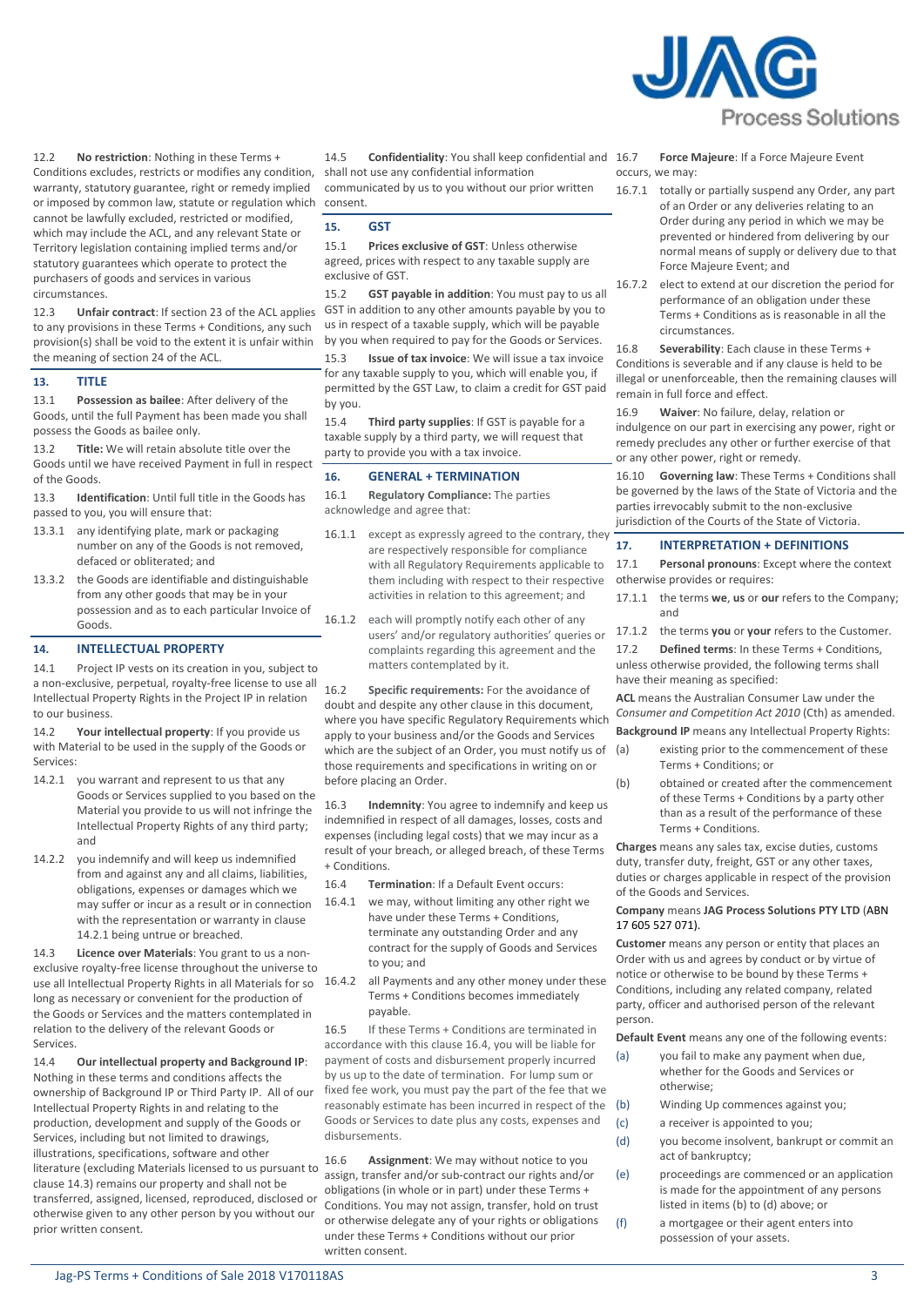

12.2 **No restriction**: Nothing in these Terms + Conditions excludes, restricts or modifies any condition, warranty, statutory guarantee, right or remedy implied or imposed by common law, statute or regulation which cannot be lawfully excluded, restricted or modified, which may include the ACL, and any relevant State or Territory legislation containing implied terms and/or statutory guarantees which operate to protect the purchasers of goods and services in various circumstances.

12.3 **Unfair contract**: If section 23 of the ACL applies to any provisions in these Terms + Conditions, any such provision(s) shall be void to the extent it is unfair within the meaning of section 24 of the ACL.

## **13. TITLE**

13.1 **Possession as bailee**: After delivery of the Goods, until the full Payment has been made you shall possess the Goods as bailee only.

13.2 **Title:** We will retain absolute title over the Goods until we have received Payment in full in respect of the Goods.

13.3 **Identification**: Until full title in the Goods has passed to you, you will ensure that:

- 13.3.1 any identifying plate, mark or packaging number on any of the Goods is not removed, defaced or obliterated; and
- 13.3.2 the Goods are identifiable and distinguishable from any other goods that may be in your possession and as to each particular Invoice of Goods.

# **14. INTELLECTUAL PROPERTY**

14.1 Project IP vests on its creation in you, subject to a non-exclusive, perpetual, royalty-free license to use all Intellectual Property Rights in the Project IP in relation to our business.

14.2 **Your intellectual property**: If you provide us with Material to be used in the supply of the Goods or Services:

- <span id="page-2-0"></span>14.2.1 you warrant and represent to us that any Goods or Services supplied to you based on the Material you provide to us will not infringe the Intellectual Property Rights of any third party; and
- 14.2.2 you indemnify and will keep us indemnified from and against any and all claims, liabilities, obligations, expenses or damages which we may suffer or incur as a result or in connection with the representation or warranty in clause [14.2.1](#page-2-0) being untrue or breached.

<span id="page-2-1"></span>14.3 **Licence over Materials**: You grant to us a nonexclusive royalty-free license throughout the universe to use all Intellectual Property Rights in all Materials for so long as necessary or convenient for the production of the Goods or Services and the matters contemplated in relation to the delivery of the relevant Goods or Services.

14.4 **Our intellectual property and Background IP**: Nothing in these terms and conditions affects the ownership of Background IP or Third Party IP. All of our Intellectual Property Rights in and relating to the production, development and supply of the Goods or Services, including but not limited to drawings, illustrations, specifications, software and other literature (excluding Materials licensed to us pursuant to claus[e 14.3\)](#page-2-1) remains our property and shall not be transferred, assigned, licensed, reproduced, disclosed or otherwise given to any other person by you without our prior written consent.

14.5 **Confidentiality**: You shall keep confidential and shall not use any confidential information

communicated by us to you without our prior written consent.

# **15. GST**

15.1 **Prices exclusive of GST**: Unless otherwise agreed, prices with respect to any taxable supply are exclusive of GST.

15.2 **GST payable in addition**: You must pay to us all GST in addition to any other amounts payable by you to us in respect of a taxable supply, which will be payable by you when required to pay for the Goods or Services.

15.3 **Issue of tax invoice**: We will issue a tax invoice for any taxable supply to you, which will enable you, if permitted by the GST Law, to claim a credit for GST paid by you.

15.4 **Third party supplies**: If GST is payable for a taxable supply by a third party, we will request that party to provide you with a tax invoice.

# **16. GENERAL + TERMINATION**

16.1 **Regulatory Compliance:** The parties acknowledge and agree that:

- 16.1.1 except as expressly agreed to the contrary, they are respectively responsible for compliance with all Regulatory Requirements applicable to them including with respect to their respective activities in relation to this agreement; and
- 16.1.2 each will promptly notify each other of any users' and/or regulatory authorities' queries or complaints regarding this agreement and the matters contemplated by it.

16.2 **Specific requirements:** For the avoidance of doubt and despite any other clause in this document, where you have specific Regulatory Requirements which apply to your business and/or the Goods and Services which are the subject of an Order, you must notify us of (a) those requirements and specifications in writing on or before placing an Order.

16.3 **Indemnity**: You agree to indemnify and keep us indemnified in respect of all damages, losses, costs and expenses (including legal costs) that we may incur as a result of your breach, or alleged breach, of these Terms + Conditions.

- <span id="page-2-2"></span>16.4 **Termination**: If a Default Event occurs:
- 16.4.1 we may, without limiting any other right we have under these Terms + Conditions, terminate any outstanding Order and any contract for the supply of Goods and Services to you; and
- 16.4.2 all Payments and any other money under these Terms + Conditions becomes immediately payable.

16.5 If these Terms + Conditions are terminated in accordance with this claus[e 16.4,](#page-2-2) you will be liable for payment of costs and disbursement properly incurred by us up to the date of termination. For lump sum or fixed fee work, you must pay the part of the fee that we reasonably estimate has been incurred in respect of the Goods or Services to date plus any costs, expenses and disbursements.

16.6 **Assignment**: We may without notice to you assign, transfer and/or sub-contract our rights and/or obligations (in whole or in part) under these Terms + Conditions. You may not assign, transfer, hold on trust or otherwise delegate any of your rights or obligations under these Terms + Conditions without our prior written consent.

16.7 **Force Majeure**: If a Force Majeure Event occurs, we may:

- 16.7.1 totally or partially suspend any Order, any part of an Order or any deliveries relating to an Order during any period in which we may be prevented or hindered from delivering by our normal means of supply or delivery due to that Force Majeure Event; and
- 16.7.2 elect to extend at our discretion the period for performance of an obligation under these Terms + Conditions as is reasonable in all the circumstances.

16.8 **Severability**: Each clause in these Terms + Conditions is severable and if any clause is held to be illegal or unenforceable, then the remaining clauses will remain in full force and effect.

16.9 **Waiver**: No failure, delay, relation or indulgence on our part in exercising any power, right or remedy precludes any other or further exercise of that or any other power, right or remedy.

16.10 **Governing law**: These Terms + Conditions shall be governed by the laws of the State of Victoria and the parties irrevocably submit to the non-exclusive jurisdiction of the Courts of the State of Victoria.

### **17. INTERPRETATION + DEFINITIONS**

17.1 **Personal pronouns**: Except where the context otherwise provides or requires:

- 17.1.1 the terms **we**, **us** or **our** refers to the Company; and
- 17.1.2 the terms **you** or **your** refers to the Customer.
- 17.2 **Defined terms**: In these Terms + Conditions, unless otherwise provided, the following terms shall have their meaning as specified:

**ACL** means the Australian Consumer Law under the *Consumer and Competition Act 2010* (Cth) as amended. **Background IP** means any Intellectual Property Rights:

- existing prior to the commencement of these Terms + Conditions; or
- (b) obtained or created after the commencement of these Terms + Conditions by a party other than as a result of the performance of these Terms + Conditions.

**Charges** means any sales tax, excise duties, customs duty, transfer duty, freight, GST or any other taxes, duties or charges applicable in respect of the provision of the Goods and Services.

# **Company** means **JAG Process Solutions PTY LTD** (ABN [17 605 527 071\)](https://abr.business.gov.au/ABN/View?abn=17605527071).

**Customer** means any person or entity that places an Order with us and agrees by conduct or by virtue of notice or otherwise to be bound by these Terms + Conditions, including any related company, related party, officer and authorised person of the relevant person.

**Default Event** means any one of the following events:

- (a) you fail to make any payment when due, whether for the Goods and Services or otherwise;
- (b) Winding Up commences against you;
- (c) a receiver is appointed to you;
- (d) you become insolvent, bankrupt or commit an act of bankruptcy;
- (e) proceedings are commenced or an application is made for the appointment of any persons listed in items (b) to (d) above; or
- (f) a mortgagee or their agent enters into possession of your assets.